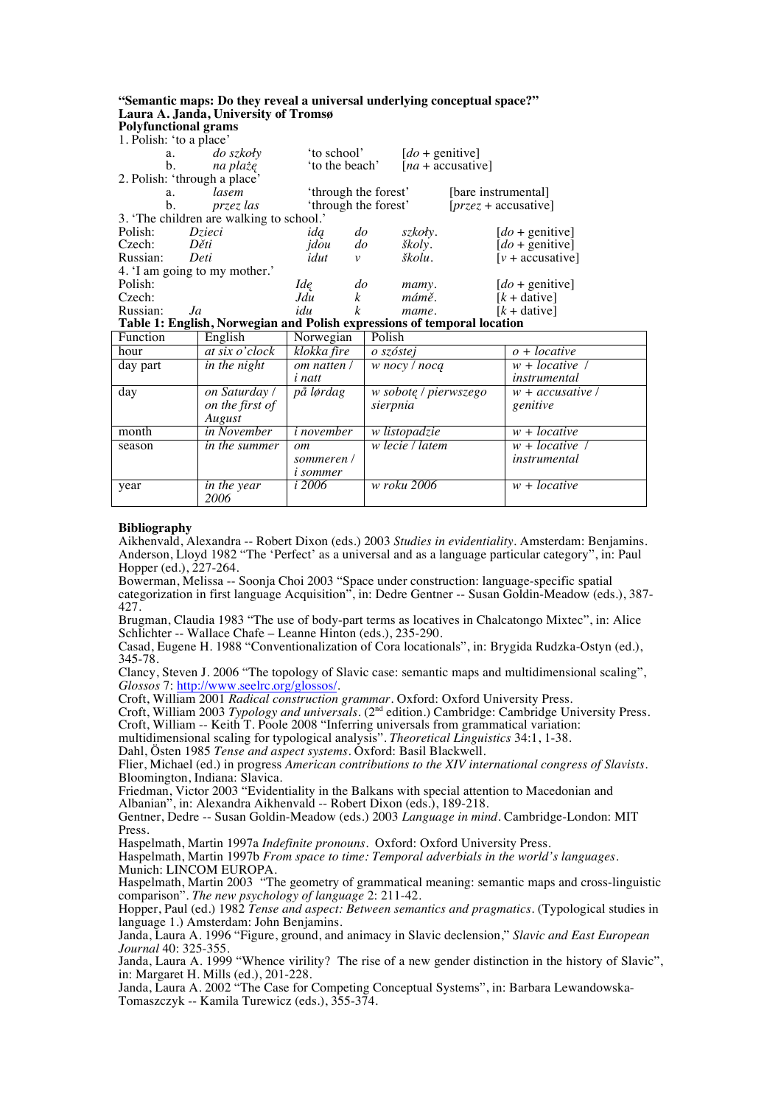## **"Semantic maps: Do they reveal a universal underlying conceptual space?" Laura A. Janda, University of Tromsø Polyfunctional grams**

1. Polish: 'to a place'

| 1.1 VIISII. to a place                                                  |                  |                      |               |                   |                               |  |  |  |
|-------------------------------------------------------------------------|------------------|----------------------|---------------|-------------------|-------------------------------|--|--|--|
| a.                                                                      | <i>do szkoły</i> | 'to school'          |               | $[do +$ genitive] |                               |  |  |  |
| b.                                                                      | na plażę         |                      | to the beach' |                   | $[na + \text{accusative}]$    |  |  |  |
| 2. Polish: 'through a place'                                            |                  |                      |               |                   |                               |  |  |  |
| a.                                                                      | lasem            | 'through the forest' |               |                   | [bare instrumental]           |  |  |  |
| b.                                                                      | przez las        | 'through the forest' |               |                   | $[przez + \text{accusative}]$ |  |  |  |
| 3. The children are walking to school.                                  |                  |                      |               |                   |                               |  |  |  |
| Polish:                                                                 | Dzieci           | ida                  | $d\sigma$     | szkoły.           | $[do +$ genitive]             |  |  |  |
| Czech:                                                                  | Děti             | jdou                 | $d\sigma$     | školy.            | $[do +$ genitive]             |  |  |  |
| Russian:                                                                | Deti             | idut                 | $\mathcal V$  | školu.            | $[v + \text{accusative}]$     |  |  |  |
| 4. I am going to my mother.'                                            |                  |                      |               |                   |                               |  |  |  |
| Polish:                                                                 |                  | Ide                  | $d\sigma$     | mamy.             | $[do +$ genitive]             |  |  |  |
| Czech:                                                                  |                  | Jdu                  | k             | mámě.             | $[k + \text{dative}]$         |  |  |  |
| Russian:                                                                | Ja               | idu                  | k             | mame.             | $[k + \text{dative}]$         |  |  |  |
| Table 1: English, Norwegian and Polish expressions of temporal location |                  |                      |               |                   |                               |  |  |  |

**Table 1: English, Norwegian and Polish expressions of temporal location** 

| Function | English            | Norwegian                    | Polish                |                    |
|----------|--------------------|------------------------------|-----------------------|--------------------|
| hour     | at six o'clock     | klokka fire                  | o szóstej             | $o + locative$     |
| day part | in the night       | om natten /                  | w nocy / nocą         | $w + locative$     |
|          |                    | <i>i</i> natt                |                       | instrumental       |
| day      | on Saturday /      | $\overline{p\aa l\phi}$ rdag | w sobotę / pierwszego | $w +$ accusative / |
|          | on the first of    |                              | sierpnia              | genitive           |
|          | August             |                              |                       |                    |
| month    | <i>in November</i> | <i>i</i> november            | w listopadzie         | $w + locative$     |
| season   | in the summer      | $\omega$                     | w lecie / latem       | $w + locative$     |
|          |                    | sommeren /                   |                       | instrumental       |
|          |                    | <i>i</i> sommer              |                       |                    |
| year     | in the year        | $i\,2006$                    | w roku 2006           | $w + locative$     |
|          | 2006               |                              |                       |                    |

## **Bibliography**

Aikhenvald, Alexandra -- Robert Dixon (eds.) 2003 *Studies in evidentiality.* Amsterdam: Benjamins. Anderson, Lloyd 1982 "The 'Perfect' as a universal and as a language particular category", in: Paul Hopper (ed.), 227-264.

Bowerman, Melissa -- Soonja Choi 2003 "Space under construction: language-specific spatial categorization in first language Acquisition", in: Dedre Gentner -- Susan Goldin-Meadow (eds.), 387- 427.

Brugman, Claudia 1983 "The use of body-part terms as locatives in Chalcatongo Mixtec", in: Alice Schlichter -- Wallace Chafe – Leanne Hinton (eds.), 235-290.

Casad, Eugene H. 1988 "Conventionalization of Cora locationals", in: Brygida Rudzka-Ostyn (ed.), 345-78.

Clancy, Steven J. 2006 "The topology of Slavic case: semantic maps and multidimensional scaling", *Glossos* 7: http://www.seelrc.org/glossos/.

Croft, William 2001 *Radical construction grammar.* Oxford: Oxford University Press.

Croft, William 2003 *Typology and universals*. (2nd edition.) Cambridge: Cambridge University Press. Croft, William -- Keith T. Poole 2008 "Inferring universals from grammatical variation:

multidimensional scaling for typological analysis". *Theoretical Linguistics* 34:1, 1-38.

Dahl, Östen 1985 *Tense and aspect systems*. Oxford: Basil Blackwell.

Flier, Michael (ed.) in progress *American contributions to the XIV international congress of Slavists*. Bloomington, Indiana: Slavica.

Friedman, Victor 2003 "Evidentiality in the Balkans with special attention to Macedonian and Albanian", in: Alexandra Aikhenvald -- Robert Dixon (eds.), 189-218.

Gentner, Dedre -- Susan Goldin-Meadow (eds.) 2003 *Language in mind*. Cambridge-London: MIT Press.

Haspelmath, Martin 1997a *Indefinite pronouns.* Oxford: Oxford University Press.

Haspelmath, Martin 1997b *From space to time: Temporal adverbials in the world's languages.*  Munich: LINCOM EUROPA.

Haspelmath, Martin 2003 "The geometry of grammatical meaning: semantic maps and cross-linguistic comparison". *The new psychology of language* 2: 211-42.

Hopper, Paul (ed.) 1982 *Tense and aspect: Between semantics and pragmatics.* (Typological studies in language 1.) Amsterdam: John Benjamins.

Janda, Laura A. 1996 "Figure, ground, and animacy in Slavic declension," *Slavic and East European Journal* 40: 325-355.

Janda, Laura A. 1999 "Whence virility? The rise of a new gender distinction in the history of Slavic", in: Margaret H. Mills (ed.), 201-228.

Janda, Laura A. 2002 "The Case for Competing Conceptual Systems", in: Barbara Lewandowska-Tomaszczyk -- Kamila Turewicz (eds.), 355-374.